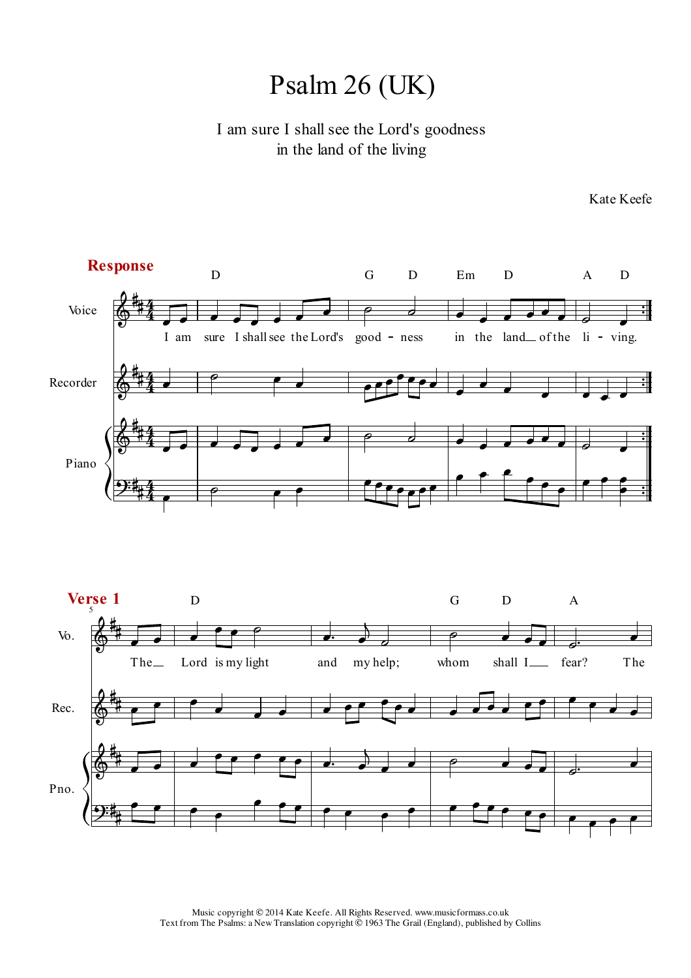## Psalm 26 (UK)

I am sure I shall see the Lord's goodness in the land of the living



Kate Keefe

Music copyright © 2014 Kate Keefe. All Rights Reserved. www.musicformass.co.uk Text from The Psalms: a New Translation copyright  $\ddot{\odot}$  1963 The Grail (England), published by Collins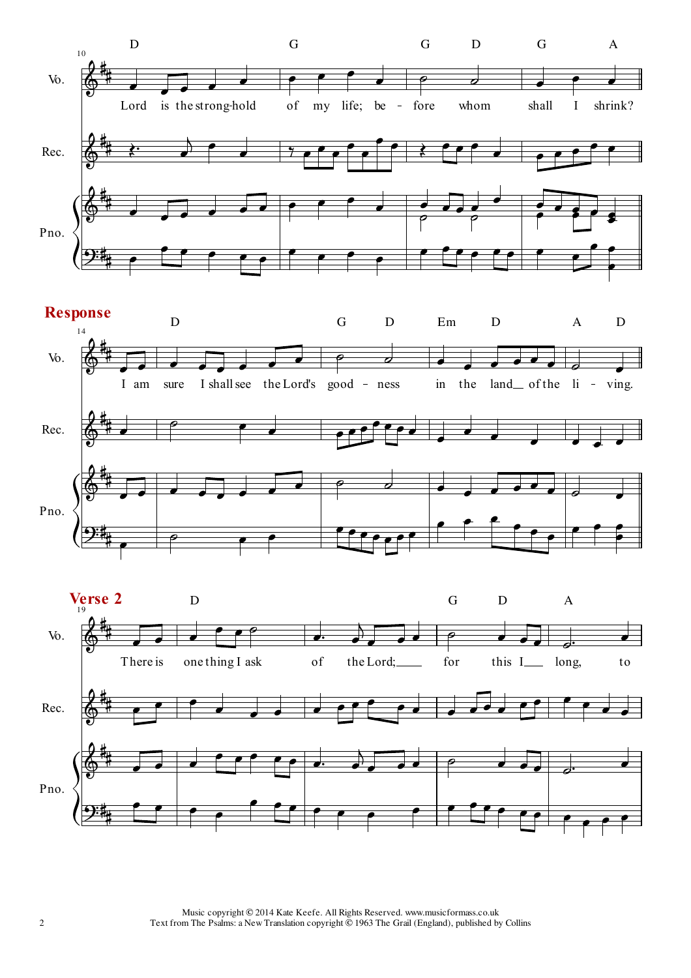





Music copyright © 2014 Kate Keefe. All Rights Reserved. www.musicformass.co.uk Text from The Psalms: a New Translation copyright  $\ddot{\odot}$  1963 The Grail (England), published by Collins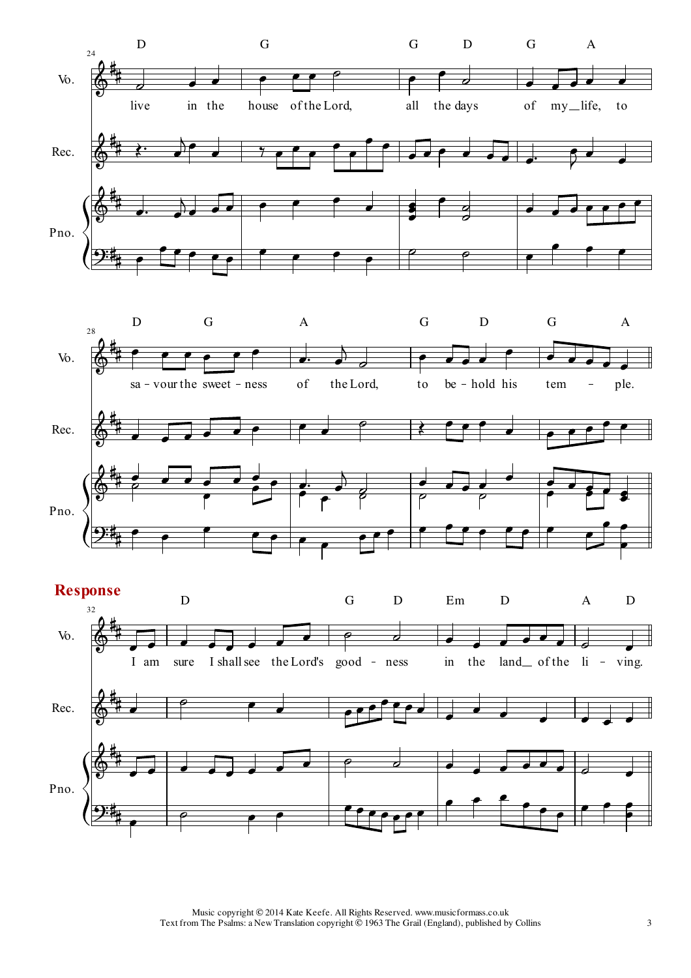





Music copyright © 2014 Kate Keefe. All Rights Reserved. www.musicformass.co.uk Text from The Psalms: a New Translation copyright © 1963 The Grail (England), published by Collins 3